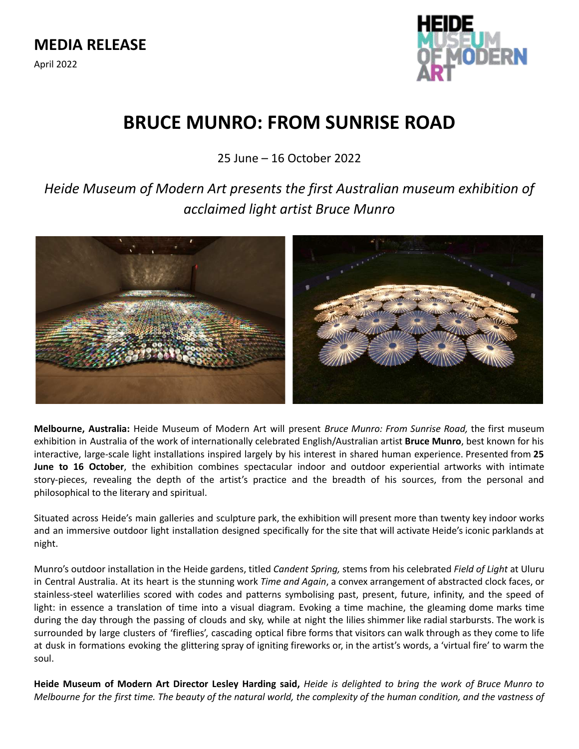

# **BRUCE MUNRO: FROM SUNRISE ROAD**

25 June – 16 October 2022

*Heide Museum of Modern Art presents the first Australian museum exhibition of acclaimed light artist Bruce Munro*



**Melbourne, Australia:** Heide Museum of Modern Art will present *Bruce Munro: From Sunrise Road,* the first museum exhibition in Australia of the work of internationally celebrated English/Australian artist **Bruce Munro**, best known for his interactive, large-scale light installations inspired largely by his interest in shared human experience. Presented from **25 June to 16 October**, the exhibition combines spectacular indoor and outdoor experiential artworks with intimate story-pieces, revealing the depth of the artist's practice and the breadth of his sources, from the personal and philosophical to the literary and spiritual.

Situated across Heide's main galleries and sculpture park, the exhibition will present more than twenty key indoor works and an immersive outdoor light installation designed specifically for the site that will activate Heide's iconic parklands at night.

Munro's outdoor installation in the Heide gardens, titled *Candent Spring,* stems from his celebrated *Field of Light* at Uluru in Central Australia. At its heart is the stunning work *Time and Again*, a convex arrangement of abstracted clock faces, or stainless-steel waterlilies scored with codes and patterns symbolising past, present, future, infinity, and the speed of light: in essence a translation of time into a visual diagram. Evoking a time machine, the gleaming dome marks time during the day through the passing of clouds and sky, while at night the lilies shimmer like radial starbursts. The work is surrounded by large clusters of 'fireflies', cascading optical fibre forms that visitors can walk through as they come to life at dusk in formations evoking the glittering spray of igniting fireworks or, in the artist's words, a 'virtual fire' to warm the soul.

Heide Museum of Modern Art Director Lesley Harding said, Heide is delighted to bring the work of Bruce Munro to Melbourne for the first time. The beauty of the natural world, the complexity of the human condition, and the vastness of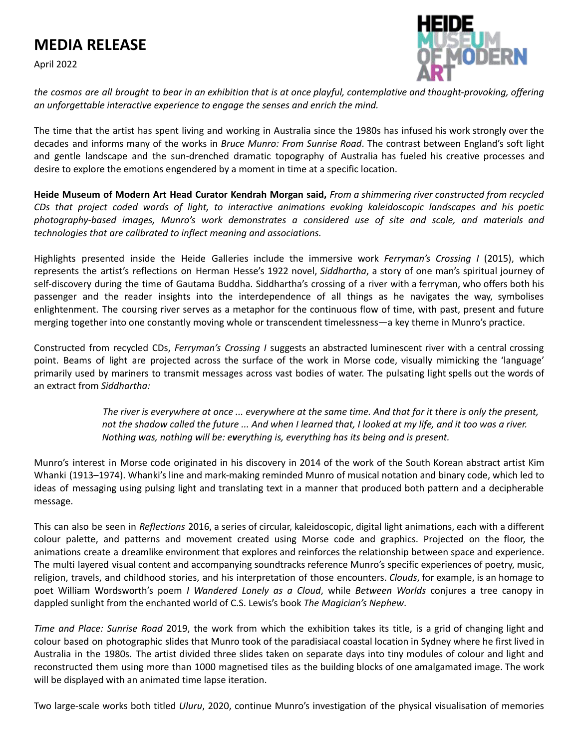# **MEDIA RELEASE**

April 2022



the cosmos are all brought to bear in an exhibition that is at once playful, contemplative and thought-provoking, offering *an unforgettable interactive experience to engage the senses and enrich the mind.*

The time that the artist has spent living and working in Australia since the 1980s has infused his work strongly over the decades and informs many of the works in *Bruce Munro: From Sunrise Road*. The contrast between England's soft light and gentle landscape and the sun-drenched dramatic topography of Australia has fueled his creative processes and desire to explore the emotions engendered by a moment in time at a specific location.

Heide Museum of Modern Art Head Curator Kendrah Morgan said, From a shimmering river constructed from recycled *CDs that project coded words of light, to interactive animations evoking kaleidoscopic landscapes and his poetic photography-based images, Munro's work demonstrates a considered use of site and scale, and materials and technologies that are calibrated to inflect meaning and associations.*

Highlights presented inside the Heide Galleries include the immersive work *Ferryman's Crossing I* (2015), which represents the artist's reflections on Herman Hesse's 1922 novel, *Siddhartha*, a story of one man's spiritual journey of self-discovery during the time of Gautama Buddha. Siddhartha's crossing of a river with a ferryman, who offers both his passenger and the reader insights into the interdependence of all things as he navigates the way, symbolises enlightenment. The coursing river serves as a metaphor for the continuous flow of time, with past, present and future merging together into one constantly moving whole or transcendent timelessness—a key theme in Munro's practice.

Constructed from recycled CDs, *Ferryman's Crossing I* suggests an abstracted luminescent river with a central crossing point. Beams of light are projected across the surface of the work in Morse code, visually mimicking the 'language' primarily used by mariners to transmit messages across vast bodies of water. The pulsating light spells out the words of an extract from *Siddhartha:*

> The river is everywhere at once ... everywhere at the same time. And that for it there is only the present, not the shadow called the future ... And when I learned that, I looked at my life, and it too was a river. *Nothing was, nothing will be: everything is, everything has its being and is present.*

Munro's interest in Morse code originated in his discovery in 2014 of the work of the South Korean abstract artist Kim Whanki (1913–1974). Whanki's line and mark-making reminded Munro of musical notation and binary code, which led to ideas of messaging using pulsing light and translating text in a manner that produced both pattern and a decipherable message.

This can also be seen in *Reflections* 2016, a series of circular, kaleidoscopic, digital light animations, each with a different colour palette, and patterns and movement created using Morse code and graphics. Projected on the floor, the animations create a dreamlike environment that explores and reinforces the relationship between space and experience. The multi layered visual content and accompanying soundtracks reference Munro's specific experiences of poetry, music, religion, travels, and childhood stories, and his interpretation of those encounters. *Clouds*, for example, is an homage to poet William Wordsworth's poem *I Wandered Lonely as a Cloud*, while *Between Worlds* conjures a tree canopy in dappled sunlight from the enchanted world of C.S. Lewis's book *The Magician's Nephew*.

*Time and Place: Sunrise Road* 2019, the work from which the exhibition takes its title, is a grid of changing light and colour based on photographic slides that Munro took of the paradisiacal coastal location in Sydney where he first lived in Australia in the 1980s. The artist divided three slides taken on separate days into tiny modules of colour and light and reconstructed them using more than 1000 magnetised tiles as the building blocks of one amalgamated image. The work will be displayed with an animated time lapse iteration.

Two large-scale works both titled *Uluru*, 2020, continue Munro's investigation of the physical visualisation of memories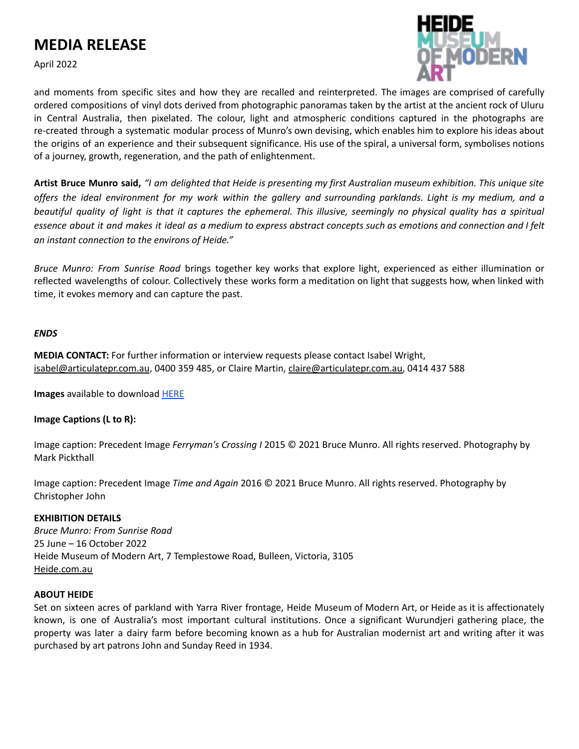# **MEDIA RELEASE**

April 2022



and moments from specific sites and how they are recalled and reinterpreted. The images are comprised of carefully ordered compositions of vinyl dots derived from photographic panoramas taken by the artist at the ancient rock of Uluru in Central Australia, then pixelated. The colour, light and atmospheric conditions captured in the photographs are re-created through a systematic modular process of Munro's own devising, which enables him to explore his ideas about the origins of an experience and their subsequent significance. His use of the spiral, a universal form, symbolises notions of a journey, growth, regeneration, and the path of enlightenment.

Artist Bruce Munro said, "I am delighted that Heide is presenting my first Australian museum exhibition. This unique site offers the ideal environment for my work within the gallery and surrounding parklands. Light is my medium, and a beautiful quality of light is that it captures the ephemeral. This illusive, seemingly no physical quality has a spiritual essence about it and makes it ideal as a medium to express abstract concepts such as emotions and connection and I felt *an instant connection to the environs of Heide."*

*Bruce Munro: From Sunrise Road* brings together key works that explore light, experienced as either illumination or reflected wavelengths of colour. Collectively these works form a meditation on light that suggests how, when linked with time, it evokes memory and can capture the past.

### *ENDS*

**MEDIA CONTACT:** For further information or interview requests please contact Isabel Wright, [isabel@articulatepr.com.au](mailto:isabel@articulatepr.com.au), 0400 359 485, or Claire Martin, [claire@articulatepr.com.au,](mailto:claire@articulatepr.com.au) 0414 437 588

**Images** available to download [HERE](https://www.dropbox.com/sh/is01tzffejvqz9o/AACUd-BbPpdaFQ0-01e_AvU8a?dl=0)

## **Image Captions (L to R):**

Image caption: Precedent Image *Ferryman's Crossing I* 2015 © 2021 Bruce Munro. All rights reserved. Photography by Mark Pickthall

Image caption: Precedent Image *Time and Again* 2016 © 2021 Bruce Munro. All rights reserved. Photography by Christopher John

### **EXHIBITION DETAILS**

*Bruce Munro: From Sunrise Road* 25 June – 16 October 2022 Heide Museum of Modern Art, 7 Templestowe Road, Bulleen, Victoria, 3105 [Heide.com.au](https://www.heide.com.au/)

### **ABOUT HEIDE**

Set on sixteen acres of parkland with Yarra River frontage, Heide Museum of Modern Art, or Heide as it is affectionately known, is one of Australia's most important cultural institutions. Once a significant Wurundjeri gathering place, the property was later a dairy farm before becoming known as a hub for Australian modernist art and writing after it was purchased by art patrons John and Sunday Reed in 1934.